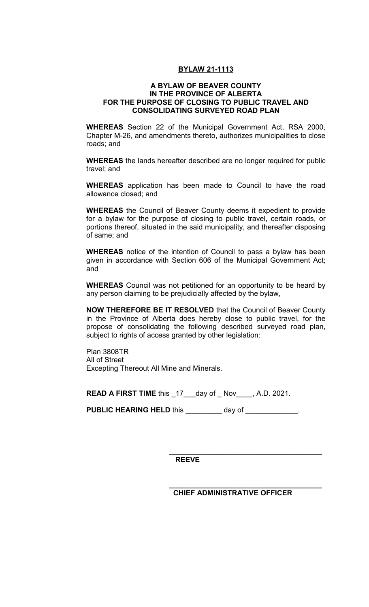## **BYLAW 21-1113**

## **A BYLAW OF BEAVER COUNTY IN THE PROVINCE OF ALBERTA FOR THE PURPOSE OF CLOSING TO PUBLIC TRAVEL AND CONSOLIDATING SURVEYED ROAD PLAN**

**WHEREAS** Section 22 of the Municipal Government Act, RSA 2000, Chapter M-26, and amendments thereto, authorizes municipalities to close roads; and

**WHEREAS** the lands hereafter described are no longer required for public travel; and

**WHEREAS** application has been made to Council to have the road allowance closed; and

**WHEREAS** the Council of Beaver County deems it expedient to provide for a bylaw for the purpose of closing to public travel, certain roads, or portions thereof, situated in the said municipality, and thereafter disposing of same; and

**WHEREAS** notice of the intention of Council to pass a bylaw has been given in accordance with Section 606 of the Municipal Government Act; and

**WHEREAS** Council was not petitioned for an opportunity to be heard by any person claiming to be prejudicially affected by the bylaw,

**NOW THEREFORE BE IT RESOLVED** that the Council of Beaver County in the Province of Alberta does hereby close to public travel, for the propose of consolidating the following described surveyed road plan, subject to rights of access granted by other legislation:

Plan 3808TR All of Street Excepting Thereout All Mine and Minerals.

**READ A FIRST TIME** this \_17\_\_\_day of \_ Nov\_\_\_\_, A.D. 2021.

**PUBLIC HEARING HELD** this \_\_\_\_\_\_\_\_ day of \_\_\_\_\_\_\_\_\_\_\_\_\_.

**REEVE** 

 **CHIEF ADMINISTRATIVE OFFICER** 

**\_\_\_\_\_\_\_\_\_\_\_\_\_\_\_\_\_\_\_\_\_\_\_\_\_\_\_\_\_\_\_\_\_\_\_\_\_\_** 

**\_\_\_\_\_\_\_\_\_\_\_\_\_\_\_\_\_\_\_\_\_\_\_\_\_\_\_\_\_\_\_\_\_\_\_\_\_\_**